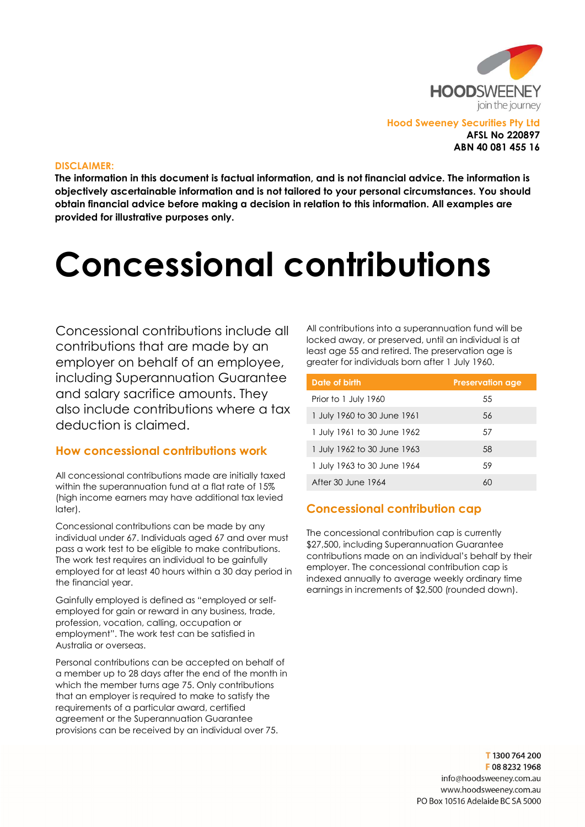

#### DISCLAIMER:

The information in this document is factual information, and is not financial advice. The information is objectively ascertainable information and is not tailored to your personal circumstances. You should obtain financial advice before making a decision in relation to this information. All examples are provided for illustrative purposes only.

# Concessional contributions

Concessional contributions include all contributions that are made by an employer on behalf of an employee, including Superannuation Guarantee and salary sacrifice amounts. They also include contributions where a tax deduction is claimed.

## How concessional contributions work

All concessional contributions made are initially taxed within the superannuation fund at a flat rate of 15% (high income earners may have additional tax levied later).

Concessional contributions can be made by any individual under 67. Individuals aged 67 and over must pass a work test to be eligible to make contributions. The work test requires an individual to be gainfully employed for at least 40 hours within a 30 day period in the financial year.

Gainfully employed is defined as "employed or selfemployed for gain or reward in any business, trade, profession, vocation, calling, occupation or employment". The work test can be satisfied in Australia or overseas.

Personal contributions can be accepted on behalf of a member up to 28 days after the end of the month in which the member turns age 75. Only contributions that an employer is required to make to satisfy the requirements of a particular award, certified agreement or the Superannuation Guarantee provisions can be received by an individual over 75.

All contributions into a superannuation fund will be locked away, or preserved, until an individual is at least age 55 and retired. The preservation age is greater for individuals born after 1 July 1960.

| Date of birth               | <b>Preservation age</b> |
|-----------------------------|-------------------------|
| Prior to 1 July 1960        | 55                      |
| 1 July 1960 to 30 June 1961 | 56                      |
| 1 July 1961 to 30 June 1962 | .57                     |
| 1 July 1962 to 30 June 1963 | 58                      |
| 1 July 1963 to 30 June 1964 | .59                     |
| After 30 June 1964          | 60                      |

## Concessional contribution cap

The concessional contribution cap is currently \$27,500, including Superannuation Guarantee contributions made on an individual's behalf by their employer. The concessional contribution cap is indexed annually to average weekly ordinary time earnings in increments of \$2,500 (rounded down).

> T1300764200 F0882321968 info@hoodsweeney.com.au www.hoodsweeney.com.au PO Box 10516 Adelaide BC SA 5000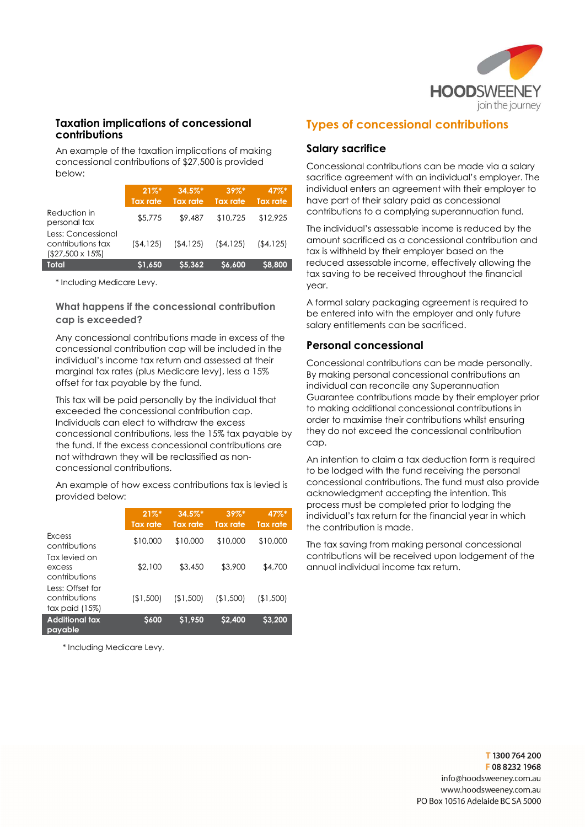

#### Taxation implications of concessional contributions

An example of the taxation implications of making concessional contributions of \$27,500 is provided below:

|                                                                    | $21\%$ *<br><b>Tax rate</b> | $34.5\%$ *<br><b>Tax rate</b> | $39\%$ *<br><b>Tax rate</b> | 47%*<br><b>Tax rate</b> |
|--------------------------------------------------------------------|-----------------------------|-------------------------------|-----------------------------|-------------------------|
| Reduction in<br>personal tax                                       | \$5,775                     | \$9,487                       | \$10,725                    | \$12,925                |
| Less: Concessional<br>contributions tax<br>$($27,500 \times 15\%)$ | (\$4,125)                   | ( \$4, 125)                   | ( \$4, 125)                 | (54.125)                |
| Total                                                              | \$1.650                     | S5.362                        | S6.600                      | \$8,800                 |

\* Including Medicare Levy.

#### What happens if the concessional contribution cap is exceeded?

Any concessional contributions made in excess of the concessional contribution cap will be included in the individual's income tax return and assessed at their marginal tax rates (plus Medicare levy), less a 15% offset for tax payable by the fund.

This tax will be paid personally by the individual that exceeded the concessional contribution cap. Individuals can elect to withdraw the excess concessional contributions, less the 15% tax payable by the fund. If the excess concessional contributions are not withdrawn they will be reclassified as nonconcessional contributions.

An example of how excess contributions tax is levied is provided below:

|                                                     | $21\%$ <sup>*</sup><br><b>Tax rate</b> | $34.5\%$ *<br><b>Tax rate</b> | $39\%$ *<br><b>Tax rate</b> | $47\%$ *<br><b>Tax rate</b> |
|-----------------------------------------------------|----------------------------------------|-------------------------------|-----------------------------|-----------------------------|
| Excess<br>contributions                             | \$10,000                               | \$10,000                      | \$10,000                    | \$10,000                    |
| Tax levied on<br>excess<br>contributions            | \$2,100                                | \$3,450                       | \$3,900                     | \$4,700                     |
| Less: Offset for<br>contributions<br>tax paid (15%) | (\$1,500)                              | (\$1,500)                     | (\$1,500)                   | (\$1,500)                   |
| <b>Additional tax</b><br>payable                    | <b>S600</b>                            | \$1.950                       | \$2,400                     | \$3.200                     |

\* Including Medicare Levy.

## Types of concessional contributions

### Salary sacrifice

Concessional contributions can be made via a salary sacrifice agreement with an individual's employer. The individual enters an agreement with their employer to have part of their salary paid as concessional contributions to a complying superannuation fund.

The individual's assessable income is reduced by the amount sacrificed as a concessional contribution and tax is withheld by their employer based on the reduced assessable income, effectively allowing the tax saving to be received throughout the financial year.

A formal salary packaging agreement is required to be entered into with the employer and only future salary entitlements can be sacrificed.

#### Personal concessional

Concessional contributions can be made personally. By making personal concessional contributions an individual can reconcile any Superannuation Guarantee contributions made by their employer prior to making additional concessional contributions in order to maximise their contributions whilst ensuring they do not exceed the concessional contribution cap.

An intention to claim a tax deduction form is required to be lodged with the fund receiving the personal concessional contributions. The fund must also provide acknowledgment accepting the intention. This process must be completed prior to lodging the individual's tax return for the financial year in which the contribution is made.

The tax saving from making personal concessional contributions will be received upon lodgement of the annual individual income tax return.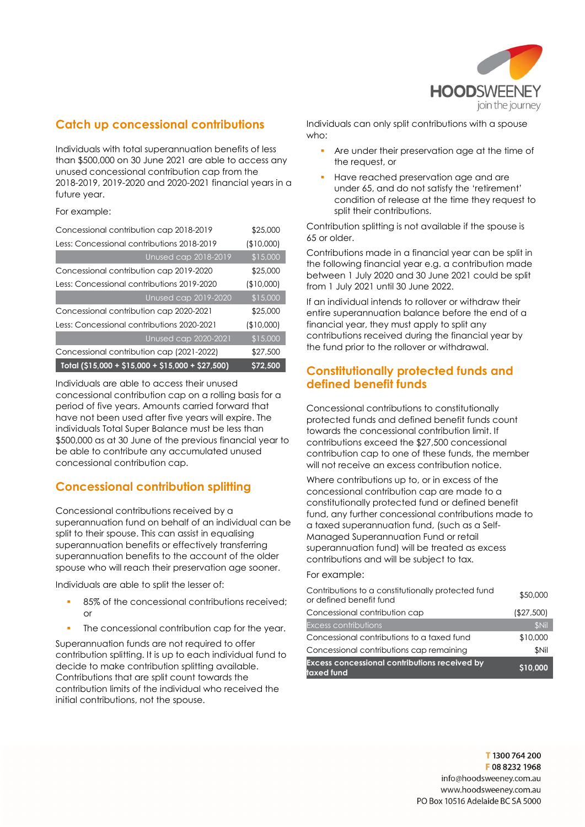

# Catch up concessional contributions

Individuals with total superannuation benefits of less than \$500,000 on 30 June 2021 are able to access any unused concessional contribution cap from the 2018-2019, 2019-2020 and 2020-2021 financial years in a future year.

For example:

| Concessional contribution cap 2018-2019           | \$25,000        |
|---------------------------------------------------|-----------------|
| Less: Concessional contributions 2018-2019        | (\$10,000]      |
| <b>Unused cap 2018-2019</b>                       | $\sqrt{15,000}$ |
| Concessional contribution cap 2019-2020           | \$25,000        |
| Less: Concessional contributions 2019-2020        | (\$10,000)      |
| Unused cap 2019-2020                              | \$15,000        |
| Concessional contribution cap 2020-2021           | \$25,000        |
| Less: Concessional contributions 2020-2021        | (\$10,000)      |
| <b>Unused cap 2020-2021</b>                       | \$15,000        |
| Concessional contribution cap (2021-2022)         | \$27,500        |
| Total (\$15,000 + \$15,000 + \$15,000 + \$27,500) | \$72,500        |

Individuals are able to access their unused concessional contribution cap on a rolling basis for a period of five years. Amounts carried forward that have not been used after five years will expire. The individuals Total Super Balance must be less than \$500,000 as at 30 June of the previous financial year to be able to contribute any accumulated unused concessional contribution cap.

## Concessional contribution splitting

Concessional contributions received by a superannuation fund on behalf of an individual can be split to their spouse. This can assist in equalising superannuation benefits or effectively transferring superannuation benefits to the account of the older spouse who will reach their preservation age sooner.

Individuals are able to split the lesser of:

- 85% of the concessional contributions received; or
- The concessional contribution cap for the year.

Superannuation funds are not required to offer contribution splitting. It is up to each individual fund to decide to make contribution splitting available. Contributions that are split count towards the contribution limits of the individual who received the initial contributions, not the spouse.

Individuals can only split contributions with a spouse who:

- Are under their preservation age at the time of the request, or
- Have reached preservation age and are under 65, and do not satisfy the 'retirement' condition of release at the time they request to split their contributions.

Contribution splitting is not available if the spouse is 65 or older.

Contributions made in a financial year can be split in the following financial year e.g. a contribution made between 1 July 2020 and 30 June 2021 could be split from 1 July 2021 until 30 June 2022.

If an individual intends to rollover or withdraw their entire superannuation balance before the end of a financial year, they must apply to split any contributions received during the financial year by the fund prior to the rollover or withdrawal.

## Constitutionally protected funds and defined benefit funds

Concessional contributions to constitutionally protected funds and defined benefit funds count towards the concessional contribution limit. If contributions exceed the \$27,500 concessional contribution cap to one of these funds, the member will not receive an excess contribution notice.

Where contributions up to, or in excess of the concessional contribution cap are made to a constitutionally protected fund or defined benefit fund, any further concessional contributions made to a taxed superannuation fund, (such as a Self-Managed Superannuation Fund or retail superannuation fund) will be treated as excess contributions and will be subject to tax.

#### For example:

| <b>Excess concessional contributions received by</b><br>taxed fund            | \$10,000    |
|-------------------------------------------------------------------------------|-------------|
| Concessional contributions cap remaining                                      | \$Nil       |
| Concessional contributions to a taxed fund                                    | \$10,000    |
| <b>Excess contributions</b>                                                   | <b>SNil</b> |
| Concessional contribution cap                                                 | (\$27,500)  |
| Contributions to a constitutionally protected fund<br>or defined benefit fund | \$50,000    |